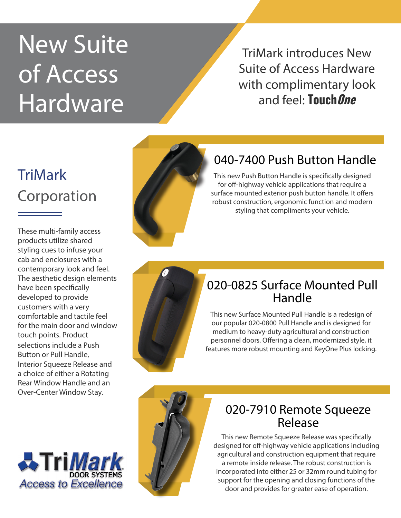# New Suite of Access Hardware

TriMark introduces New Suite of Access Hardware with complimentary look and feel: **TouchOne**

# **TriMark** Corporation

These multi-family access products utilize shared styling cues to infuse your cab and enclosures with a contemporary look and feel. The aesthetic design elements have been specifically developed to provide customers with a very comfortable and tactile feel for the main door and window touch points. Product selections include a Push Button or Pull Handle, Interior Squeeze Release and a choice of either a Rotating Rear Window Handle and an Over-Center Window Stay.





## 040-7400 Push Button Handle

This new Push Button Handle is specifically designed for off-highway vehicle applications that require a surface mounted exterior push button handle. It offers robust construction, ergonomic function and modern styling that compliments your vehicle.

## 020-0825 Surface Mounted Pull Handle

This new Surface Mounted Pull Handle is a redesign of our popular 020-0800 Pull Handle and is designed for medium to heavy-duty agricultural and construction personnel doors. Offering a clean, modernized style, it features more robust mounting and KeyOne Plus locking.



#### 020-7910 Remote Squeeze Release

This new Remote Squeeze Release was specifically designed for off-highway vehicle applications including agricultural and construction equipment that require a remote inside release. The robust construction is incorporated into either 25 or 32mm round tubing for support for the opening and closing functions of the door and provides for greater ease of operation.